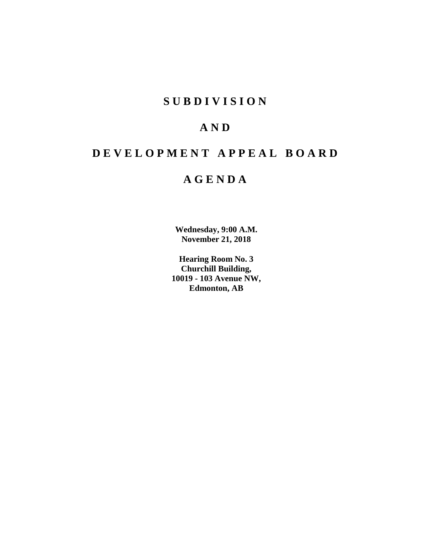# **SUBDIVISION**

# **AND**

# **DEVELOPMENT APPEAL BOARD**

# **AGENDA**

**Wednesday, 9:00 A.M. November 21, 2018**

**Hearing Room No. 3 Churchill Building, 10019 - 103 Avenue NW, Edmonton, AB**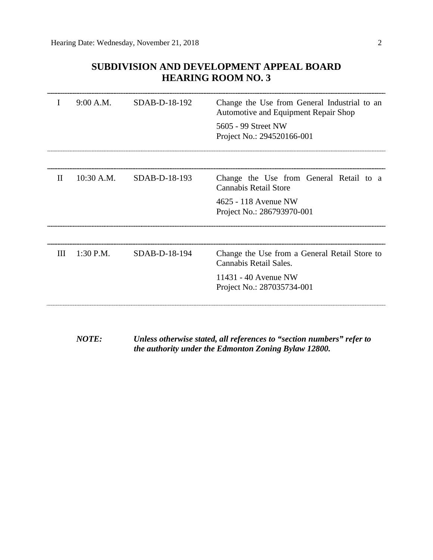# **SUBDIVISION AND DEVELOPMENT APPEAL BOARD HEARING ROOM NO. 3**

| I            | 9:00 A.M.    | SDAB-D-18-192 | Change the Use from General Industrial to an<br>Automotive and Equipment Repair Shop<br>5605 - 99 Street NW<br>Project No.: 294520166-001 |
|--------------|--------------|---------------|-------------------------------------------------------------------------------------------------------------------------------------------|
| $\mathbf{H}$ | $10:30$ A.M. | SDAB-D-18-193 | Change the Use from General Retail to a<br><b>Cannabis Retail Store</b>                                                                   |
|              |              |               | 4625 - 118 Avenue NW<br>Project No.: 286793970-001                                                                                        |
|              |              |               |                                                                                                                                           |
| Ш            | $1:30$ P.M.  | SDAB-D-18-194 | Change the Use from a General Retail Store to<br>Cannabis Retail Sales.                                                                   |
|              |              |               | 11431 - 40 Avenue NW<br>Project No.: 287035734-001                                                                                        |
|              |              |               |                                                                                                                                           |

*NOTE: Unless otherwise stated, all references to "section numbers" refer to the authority under the Edmonton Zoning Bylaw 12800.*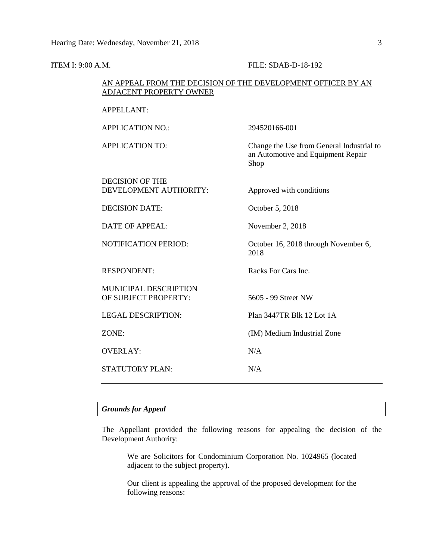| <b>ITEM I: 9:00 A.M.</b> |                                                                                         | FILE: SDAB-D-18-192                                                                     |
|--------------------------|-----------------------------------------------------------------------------------------|-----------------------------------------------------------------------------------------|
|                          | AN APPEAL FROM THE DECISION OF THE DEVELOPMENT OFFICER BY AN<br>ADJACENT PROPERTY OWNER |                                                                                         |
|                          | <b>APPELLANT:</b>                                                                       |                                                                                         |
|                          | <b>APPLICATION NO.:</b>                                                                 | 294520166-001                                                                           |
|                          | <b>APPLICATION TO:</b>                                                                  | Change the Use from General Industrial to<br>an Automotive and Equipment Repair<br>Shop |
|                          | <b>DECISION OF THE</b><br>DEVELOPMENT AUTHORITY:                                        | Approved with conditions                                                                |
|                          | <b>DECISION DATE:</b>                                                                   | October 5, 2018                                                                         |
|                          | <b>DATE OF APPEAL:</b>                                                                  | November 2, 2018                                                                        |
|                          | NOTIFICATION PERIOD:                                                                    | October 16, 2018 through November 6,<br>2018                                            |
|                          | <b>RESPONDENT:</b>                                                                      | Racks For Cars Inc.                                                                     |
|                          | MUNICIPAL DESCRIPTION<br>OF SUBJECT PROPERTY:                                           | 5605 - 99 Street NW                                                                     |
|                          | <b>LEGAL DESCRIPTION:</b>                                                               | Plan 3447TR Blk 12 Lot 1A                                                               |
|                          | ZONE:                                                                                   | (IM) Medium Industrial Zone                                                             |
|                          | <b>OVERLAY:</b>                                                                         | N/A                                                                                     |
|                          | STATUTORY PLAN:                                                                         | N/A                                                                                     |
|                          |                                                                                         |                                                                                         |

# *Grounds for Appeal*

The Appellant provided the following reasons for appealing the decision of the Development Authority:

We are Solicitors for Condominium Corporation No. 1024965 (located adjacent to the subject property).

Our client is appealing the approval of the proposed development for the following reasons: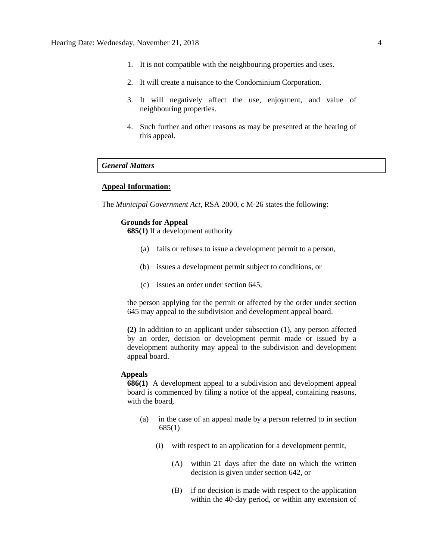- 1. It is not compatible with the neighbouring properties and uses.
- 2. It will create a nuisance to the Condominium Corporation.
- 3. It will negatively affect the use, enjoyment, and value of neighbouring properties.
- 4. Such further and other reasons as may be presented at the hearing of this appeal.

# *General Matters*

# **Appeal Information:**

The *Municipal Government Act*, RSA 2000, c M-26 states the following:

# **Grounds for Appeal**

**685(1)** If a development authority

- (a) fails or refuses to issue a development permit to a person,
- (b) issues a development permit subject to conditions, or
- (c) issues an order under section 645,

the person applying for the permit or affected by the order under section 645 may appeal to the subdivision and development appeal board.

**(2)** In addition to an applicant under subsection (1), any person affected by an order, decision or development permit made or issued by a development authority may appeal to the subdivision and development appeal board.

## **Appeals**

**686(1)** A development appeal to a subdivision and development appeal board is commenced by filing a notice of the appeal, containing reasons, with the board,

- (a) in the case of an appeal made by a person referred to in section 685(1)
	- (i) with respect to an application for a development permit,
		- (A) within 21 days after the date on which the written decision is given under section 642, or
		- (B) if no decision is made with respect to the application within the 40-day period, or within any extension of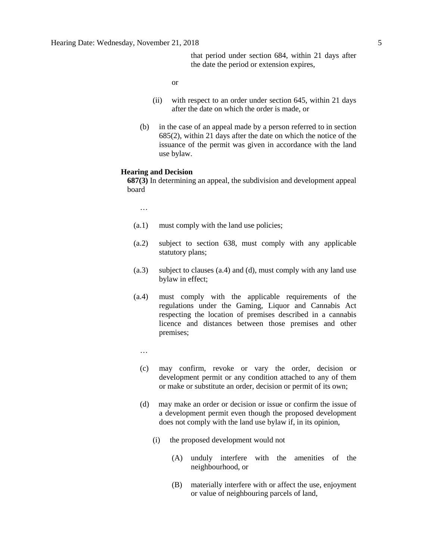that period under section 684, within 21 days after the date the period or extension expires,

or

- (ii) with respect to an order under section 645, within 21 days after the date on which the order is made, or
- (b) in the case of an appeal made by a person referred to in section 685(2), within 21 days after the date on which the notice of the issuance of the permit was given in accordance with the land use bylaw.

# **Hearing and Decision**

**687(3)** In determining an appeal, the subdivision and development appeal board

…

- (a.1) must comply with the land use policies;
- (a.2) subject to section 638, must comply with any applicable statutory plans;
- (a.3) subject to clauses (a.4) and (d), must comply with any land use bylaw in effect;
- (a.4) must comply with the applicable requirements of the regulations under the Gaming, Liquor and Cannabis Act respecting the location of premises described in a cannabis licence and distances between those premises and other premises;
	- …
	- (c) may confirm, revoke or vary the order, decision or development permit or any condition attached to any of them or make or substitute an order, decision or permit of its own;
	- (d) may make an order or decision or issue or confirm the issue of a development permit even though the proposed development does not comply with the land use bylaw if, in its opinion,
		- (i) the proposed development would not
			- (A) unduly interfere with the amenities of the neighbourhood, or
			- (B) materially interfere with or affect the use, enjoyment or value of neighbouring parcels of land,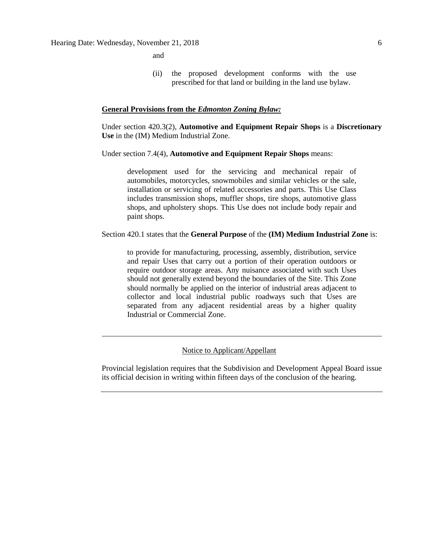and

(ii) the proposed development conforms with the use prescribed for that land or building in the land use bylaw.

# **General Provisions from the** *Edmonton Zoning Bylaw:*

Under section 420.3(2), **Automotive and Equipment Repair Shops** is a **Discretionary Use** in the (IM) Medium Industrial Zone.

# Under section 7.4(4), **Automotive and Equipment Repair Shops** means:

development used for the servicing and mechanical repair of automobiles, motorcycles, snowmobiles and similar vehicles or the sale, installation or servicing of related accessories and parts. This Use Class includes transmission shops, muffler shops, tire shops, automotive glass shops, and upholstery shops. This Use does not include body repair and paint shops.

# Section 420.1 states that the **General Purpose** of the **(IM) Medium Industrial Zone** is:

to provide for manufacturing, processing, assembly, distribution, service and repair Uses that carry out a portion of their operation outdoors or require outdoor storage areas. Any nuisance associated with such Uses should not generally extend beyond the boundaries of the Site. This Zone should normally be applied on the interior of industrial areas adjacent to collector and local industrial public roadways such that Uses are separated from any adjacent residential areas by a higher quality Industrial or Commercial Zone.

# Notice to Applicant/Appellant

Provincial legislation requires that the Subdivision and Development Appeal Board issue its official decision in writing within fifteen days of the conclusion of the hearing.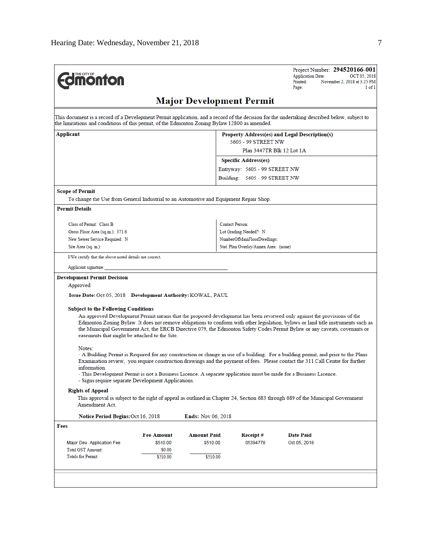Project Number: 294520166-001 **Application Date:** OCT 05, 2018 Printed: November 2, 2018 at 3:25 PM  $1 of 1$ Page:

# **Major Development Permit**

This document is a record of a Development Permit application, and a record of the decision for the undertaking described below, subject to the limitations and conditions of this permit, of the Edmonton Zoning Bylaw 12800 as amended.

| Applicant | Property Address(es) and Legal Description(s) |
|-----------|-----------------------------------------------|
|           | 5605 - 99 STREET NW                           |
|           | Plan 3447TR Blk 12 Lot 1A                     |
|           | <b>Specific Address(es)</b>                   |
|           | Entryway: 5605 - 99 STREET NW                 |
|           | Building: 5605 - 99 STREET NW                 |

### **Scope of Permit**

To change the Use from General Industrial to an Automotive and Equipment Repair Shop.

### **Permit Details**

| Class of Permit: Class B        | <b>Contact Person:</b>                |
|---------------------------------|---------------------------------------|
| Gross Floor Area (sq.m.): 371.6 | Lot Grading Needed?: N                |
| New Sewer Service Required: N   | NumberOfMainFloorDwellings:           |
| Site Area (sq. m.):             | Stat. Plan Overlav/Annex Area: (none) |

I/We certify that the above noted details are correct.

#### Applicant signature:

#### **Development Permit Decision**

#### Approved

Issue Date: Oct 05, 2018 Development Authority: KOWAL, PAUL

#### **Subject to the Following Conditions**

An approved Development Permit means that the proposed development has been reviewed only against the provisions of the Edmonton Zoning Bylaw. It does not remove obligations to conform with other legislation, bylaws or land title instruments such as the Municipal Government Act, the ERCB Directive 079, the Edmonton Safety Codes Permit Bylaw or any caveats, covenants or easements that might be attached to the Site.

#### Notes:

- A Building Permit is Required for any construction or change in use of a building. For a building permit, and prior to the Plans Examination review, you require construction drawings and the payment of fees. Please contact the 311 Call Centre for further information.

- This Development Permit is not a Business Licence. A separate application must be made for a Business Licence.
- Signs require separate Development Applications.

#### **Rights of Appeal**

This approval is subject to the right of appeal as outlined in Chapter 24, Section 683 through 689 of the Municipal Government Amendment Act.

| Notice Period Begins: Oct 16, 2018 |                   | <b>Ends:</b> Nov 06, 2018 |          |              |  |
|------------------------------------|-------------------|---------------------------|----------|--------------|--|
| Fees                               |                   |                           |          |              |  |
|                                    | <b>Fee Amount</b> | <b>Amount Paid</b>        | Receipt# | Date Paid    |  |
| Major Dev. Application Fee         | \$510.00          | \$510.00                  | 05394778 | Oct 05, 2018 |  |
| <b>Total GST Amount:</b>           | \$0.00            |                           |          |              |  |
| <b>Totals for Permit:</b>          | \$510.00          | \$510.00                  |          |              |  |
|                                    |                   |                           |          |              |  |
|                                    |                   |                           |          |              |  |
|                                    |                   |                           |          |              |  |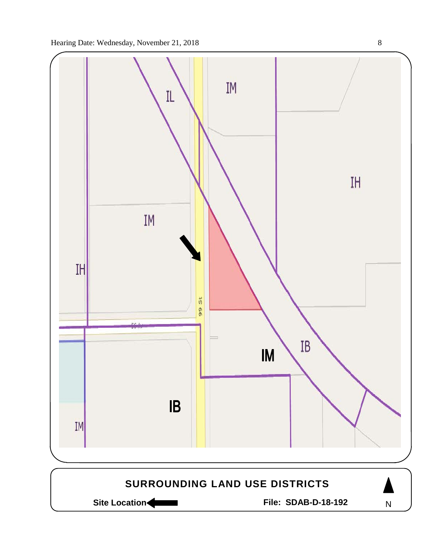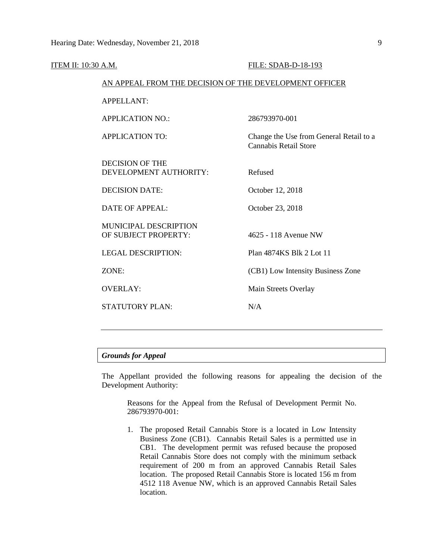| ITEM II: 10:30 A.M. |                                                        | FILE: SDAB-D-18-193                                              |  |  |
|---------------------|--------------------------------------------------------|------------------------------------------------------------------|--|--|
|                     | AN APPEAL FROM THE DECISION OF THE DEVELOPMENT OFFICER |                                                                  |  |  |
|                     | <b>APPELLANT:</b>                                      |                                                                  |  |  |
|                     | <b>APPLICATION NO.:</b>                                | 286793970-001                                                    |  |  |
|                     | <b>APPLICATION TO:</b>                                 | Change the Use from General Retail to a<br>Cannabis Retail Store |  |  |
|                     | <b>DECISION OF THE</b><br>DEVELOPMENT AUTHORITY:       | Refused                                                          |  |  |
|                     | <b>DECISION DATE:</b>                                  | October 12, 2018                                                 |  |  |
|                     | <b>DATE OF APPEAL:</b>                                 | October 23, 2018                                                 |  |  |
|                     | <b>MUNICIPAL DESCRIPTION</b><br>OF SUBJECT PROPERTY:   | 4625 - 118 Avenue NW                                             |  |  |
|                     | <b>LEGAL DESCRIPTION:</b>                              | Plan 4874KS Blk 2 Lot 11                                         |  |  |
|                     | ZONE:                                                  | (CB1) Low Intensity Business Zone                                |  |  |
|                     | <b>OVERLAY:</b>                                        | Main Streets Overlay                                             |  |  |
|                     | <b>STATUTORY PLAN:</b>                                 | N/A                                                              |  |  |
|                     |                                                        |                                                                  |  |  |

# *Grounds for Appeal*

The Appellant provided the following reasons for appealing the decision of the Development Authority:

Reasons for the Appeal from the Refusal of Development Permit No. 286793970-001:

1. The proposed Retail Cannabis Store is a located in Low Intensity Business Zone (CB1). Cannabis Retail Sales is a permitted use in CB1. The development permit was refused because the proposed Retail Cannabis Store does not comply with the minimum setback requirement of 200 m from an approved Cannabis Retail Sales location. The proposed Retail Cannabis Store is located 156 m from 4512 118 Avenue NW, which is an approved Cannabis Retail Sales location.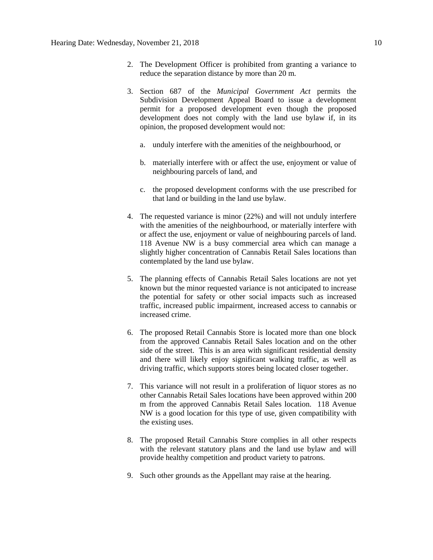- 2. The Development Officer is prohibited from granting a variance to reduce the separation distance by more than 20 m.
- 3. Section 687 of the *Municipal Government Act* permits the Subdivision Development Appeal Board to issue a development permit for a proposed development even though the proposed development does not comply with the land use bylaw if, in its opinion, the proposed development would not:
	- a. unduly interfere with the amenities of the neighbourhood, or
	- b. materially interfere with or affect the use, enjoyment or value of neighbouring parcels of land, and
	- c. the proposed development conforms with the use prescribed for that land or building in the land use bylaw.
- 4. The requested variance is minor (22%) and will not unduly interfere with the amenities of the neighbourhood, or materially interfere with or affect the use, enjoyment or value of neighbouring parcels of land. 118 Avenue NW is a busy commercial area which can manage a slightly higher concentration of Cannabis Retail Sales locations than contemplated by the land use bylaw.
- 5. The planning effects of Cannabis Retail Sales locations are not yet known but the minor requested variance is not anticipated to increase the potential for safety or other social impacts such as increased traffic, increased public impairment, increased access to cannabis or increased crime.
- 6. The proposed Retail Cannabis Store is located more than one block from the approved Cannabis Retail Sales location and on the other side of the street. This is an area with significant residential density and there will likely enjoy significant walking traffic, as well as driving traffic, which supports stores being located closer together.
- 7. This variance will not result in a proliferation of liquor stores as no other Cannabis Retail Sales locations have been approved within 200 m from the approved Cannabis Retail Sales location. 118 Avenue NW is a good location for this type of use, given compatibility with the existing uses.
- 8. The proposed Retail Cannabis Store complies in all other respects with the relevant statutory plans and the land use bylaw and will provide healthy competition and product variety to patrons.
- 9. Such other grounds as the Appellant may raise at the hearing.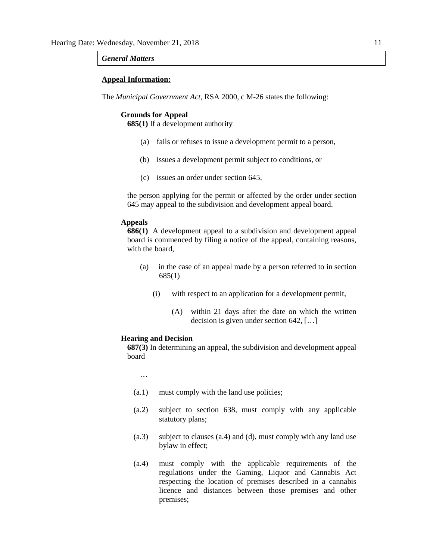# *General Matters*

# **Appeal Information:**

The *Municipal Government Act*, RSA 2000, c M-26 states the following:

### **Grounds for Appeal**

**685(1)** If a development authority

- (a) fails or refuses to issue a development permit to a person,
- (b) issues a development permit subject to conditions, or
- (c) issues an order under section 645,

the person applying for the permit or affected by the order under section 645 may appeal to the subdivision and development appeal board.

# **Appeals**

**686(1)** A development appeal to a subdivision and development appeal board is commenced by filing a notice of the appeal, containing reasons, with the board,

- (a) in the case of an appeal made by a person referred to in section 685(1)
	- (i) with respect to an application for a development permit,
		- (A) within 21 days after the date on which the written decision is given under section 642, […]

## **Hearing and Decision**

**687(3)** In determining an appeal, the subdivision and development appeal board

…

- (a.1) must comply with the land use policies;
- (a.2) subject to section 638, must comply with any applicable statutory plans;
- (a.3) subject to clauses (a.4) and (d), must comply with any land use bylaw in effect;
- (a.4) must comply with the applicable requirements of the regulations under the Gaming, Liquor and Cannabis Act respecting the location of premises described in a cannabis licence and distances between those premises and other premises;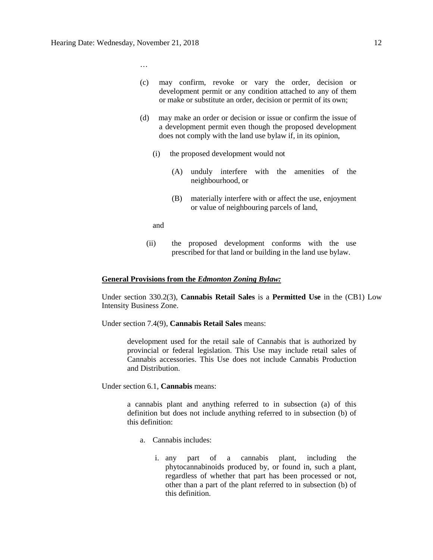…

- (c) may confirm, revoke or vary the order, decision or development permit or any condition attached to any of them or make or substitute an order, decision or permit of its own;
- (d) may make an order or decision or issue or confirm the issue of a development permit even though the proposed development does not comply with the land use bylaw if, in its opinion,
	- (i) the proposed development would not
		- (A) unduly interfere with the amenities of the neighbourhood, or
		- (B) materially interfere with or affect the use, enjoyment or value of neighbouring parcels of land,

and

(ii) the proposed development conforms with the use prescribed for that land or building in the land use bylaw.

## **General Provisions from the** *Edmonton Zoning Bylaw:*

Under section 330.2(3), **Cannabis Retail Sales** is a **Permitted Use** in the (CB1) Low Intensity Business Zone.

Under section 7.4(9), **Cannabis Retail Sales** means:

development used for the retail sale of Cannabis that is authorized by provincial or federal legislation. This Use may include retail sales of Cannabis accessories. This Use does not include Cannabis Production and Distribution.

Under section 6.1, **Cannabis** means:

a cannabis plant and anything referred to in subsection (a) of this definition but does not include anything referred to in subsection (b) of this definition:

- a. Cannabis includes:
	- i. any part of a cannabis plant, including the phytocannabinoids produced by, or found in, such a plant, regardless of whether that part has been processed or not, other than a part of the plant referred to in subsection (b) of this definition.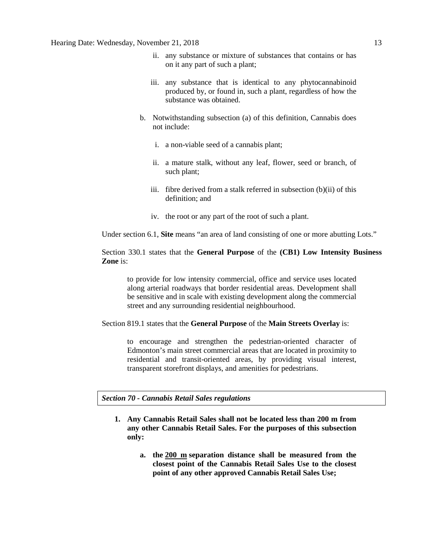- ii. any substance or mixture of substances that contains or has on it any part of such a plant;
- iii. any substance that is identical to any phytocannabinoid produced by, or found in, such a plant, regardless of how the substance was obtained.
- b. Notwithstanding subsection (a) of this definition, Cannabis does not include:
	- i. a non-viable seed of a cannabis plant;
	- ii. a mature stalk, without any leaf, flower, seed or branch, of such plant;
	- iii. fibre derived from a stalk referred in subsection (b)(ii) of this definition; and
	- iv. the root or any part of the root of such a plant.

Under section 6.1, **Site** means "an area of land consisting of one or more abutting Lots."

Section 330.1 states that the **General Purpose** of the **(CB1) Low Intensity Business Zone** is:

to provide for low intensity commercial, office and service uses located along arterial roadways that border residential areas. Development shall be sensitive and in scale with existing development along the commercial street and any surrounding residential neighbourhood.

Section 819.1 states that the **General Purpose** of the **Main Streets Overlay** is:

to encourage and strengthen the pedestrian-oriented character of Edmonton's main street commercial areas that are located in proximity to residential and transit-oriented areas, by providing visual interest, transparent storefront displays, and amenities for pedestrians.

*Section 70 - Cannabis Retail Sales regulations*

- **1. Any Cannabis Retail Sales shall not be located less than 200 m from any other Cannabis Retail Sales. For the purposes of this subsection only:**
	- **a. the [200 m](javascript:void(0);) separation distance shall be measured from the closest point of the Cannabis Retail Sales Use to the closest point of any other approved Cannabis Retail Sales Use;**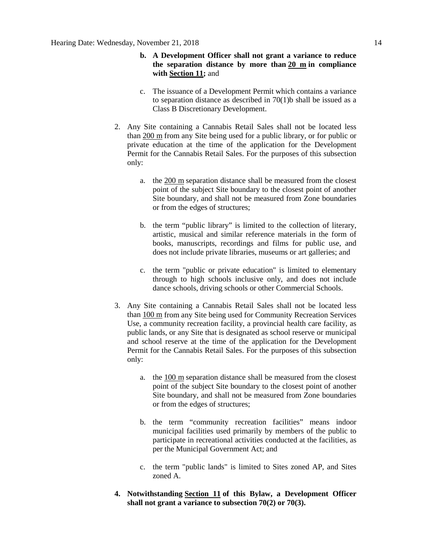- **b. A Development Officer shall not grant a variance to reduce the separation distance by more than [20 m](javascript:void(0);) in compliance with [Section 11;](https://webdocs.edmonton.ca/InfraPlan/zoningbylaw/ZoningBylaw/Part1/Administrative/11__Authority_and_Responsibility_of_the_Development_Officer.htm)** and
- c. The issuance of a Development Permit which contains a variance to separation distance as described in  $70(1)$ b shall be issued as a Class B Discretionary Development.
- 2. Any Site containing a Cannabis Retail Sales shall not be located less than [200 m](javascript:void(0);) from any Site being used for a public library, or for public or private education at the time of the application for the Development Permit for the Cannabis Retail Sales. For the purposes of this subsection only:
	- a. the [200 m](javascript:void(0);) separation distance shall be measured from the closest point of the subject Site boundary to the closest point of another Site boundary, and shall not be measured from Zone boundaries or from the edges of structures;
	- b. the term "public library" is limited to the collection of literary, artistic, musical and similar reference materials in the form of books, manuscripts, recordings and films for public use, and does not include private libraries, museums or art galleries; and
	- c. the term "public or private education" is limited to elementary through to high schools inclusive only, and does not include dance schools, driving schools or other Commercial Schools.
- 3. Any Site containing a Cannabis Retail Sales shall not be located less than [100 m](javascript:void(0);) from any Site being used for Community Recreation Services Use, a community recreation facility, a provincial health care facility, as public lands, or any Site that is designated as school reserve or municipal and school reserve at the time of the application for the Development Permit for the Cannabis Retail Sales. For the purposes of this subsection only:
	- a. the [100 m](javascript:void(0);) separation distance shall be measured from the closest point of the subject Site boundary to the closest point of another Site boundary, and shall not be measured from Zone boundaries or from the edges of structures;
	- b. the term "community recreation facilities" means indoor municipal facilities used primarily by members of the public to participate in recreational activities conducted at the facilities, as per the Municipal Government Act; and
	- c. the term "public lands" is limited to Sites zoned AP, and Sites zoned A.
- **4. Notwithstanding [Section 11](https://webdocs.edmonton.ca/InfraPlan/zoningbylaw/ZoningBylaw/Part1/Administrative/11__Authority_and_Responsibility_of_the_Development_Officer.htm) of this Bylaw, a Development Officer shall not grant a variance to subsection 70(2) or 70(3).**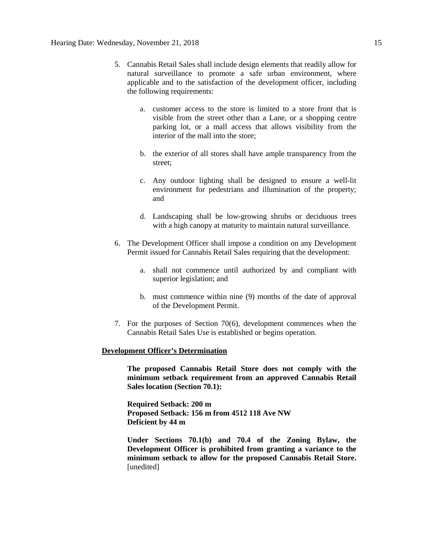- 5. Cannabis Retail Sales shall include design elements that readily allow for natural surveillance to promote a safe urban environment, where applicable and to the satisfaction of the development officer, including the following requirements:
	- a. customer access to the store is limited to a store front that is visible from the street other than a Lane, or a shopping centre parking lot, or a mall access that allows visibility from the interior of the mall into the store;
	- b. the exterior of all stores shall have ample transparency from the street;
	- c. Any outdoor lighting shall be designed to ensure a well-lit environment for pedestrians and illumination of the property; and
	- d. Landscaping shall be low-growing shrubs or deciduous trees with a high canopy at maturity to maintain natural surveillance.
- 6. The Development Officer shall impose a condition on any Development Permit issued for Cannabis Retail Sales requiring that the development:
	- a. shall not commence until authorized by and compliant with superior legislation; and
	- b. must commence within nine (9) months of the date of approval of the Development Permit.
- 7. For the purposes of Section 70(6), development commences when the Cannabis Retail Sales Use is established or begins operation.

## **Development Officer's Determination**

**The proposed Cannabis Retail Store does not comply with the minimum setback requirement from an approved Cannabis Retail Sales location (Section 70.1):**

**Required Setback: 200 m Proposed Setback: 156 m from 4512 118 Ave NW Deficient by 44 m**

**Under Sections 70.1(b) and 70.4 of the Zoning Bylaw, the Development Officer is prohibited from granting a variance to the minimum setback to allow for the proposed Cannabis Retail Store.**  [unedited]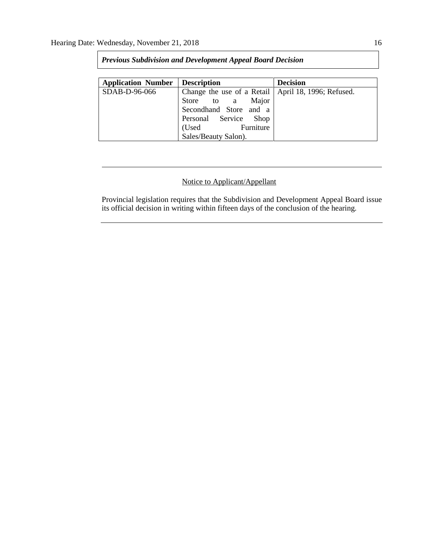| <b>Application Number</b> | <b>Description</b>                                    | <b>Decision</b> |
|---------------------------|-------------------------------------------------------|-----------------|
| SDAB-D-96-066             | Change the use of a Retail   April 18, 1996; Refused. |                 |
|                           | Store to a Major                                      |                 |
|                           | Secondhand Store and a                                |                 |
|                           | Personal Service Shop                                 |                 |
|                           | (Used Furniture                                       |                 |
|                           | Sales/Beauty Salon).                                  |                 |

# *Previous Subdivision and Development Appeal Board Decision*

# Notice to Applicant/Appellant

Provincial legislation requires that the Subdivision and Development Appeal Board issue its official decision in writing within fifteen days of the conclusion of the hearing.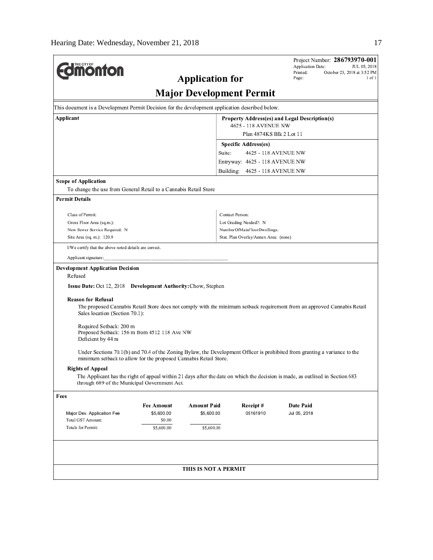| <b><i><u><u><b>MONTON</b></u></u></i></b>                                                                                                                                                                                                                                                                                                                                                                                                                                                                                                                                                                                                                                                                                         |                                               |                                 |                                       | Application Date:<br>Printed:<br>Page: | Project Number: 286793970-001<br>JUL 05, 2018<br>October 23, 2018 at 3:52 PM |  |
|-----------------------------------------------------------------------------------------------------------------------------------------------------------------------------------------------------------------------------------------------------------------------------------------------------------------------------------------------------------------------------------------------------------------------------------------------------------------------------------------------------------------------------------------------------------------------------------------------------------------------------------------------------------------------------------------------------------------------------------|-----------------------------------------------|---------------------------------|---------------------------------------|----------------------------------------|------------------------------------------------------------------------------|--|
|                                                                                                                                                                                                                                                                                                                                                                                                                                                                                                                                                                                                                                                                                                                                   | <b>Application for</b>                        |                                 |                                       |                                        | 1 of 1                                                                       |  |
|                                                                                                                                                                                                                                                                                                                                                                                                                                                                                                                                                                                                                                                                                                                                   |                                               | <b>Major Development Permit</b> |                                       |                                        |                                                                              |  |
| This document is a Development Permit Decision for the development application described below.                                                                                                                                                                                                                                                                                                                                                                                                                                                                                                                                                                                                                                   |                                               |                                 |                                       |                                        |                                                                              |  |
| Applicant                                                                                                                                                                                                                                                                                                                                                                                                                                                                                                                                                                                                                                                                                                                         | Property Address(es) and Legal Description(s) |                                 |                                       |                                        |                                                                              |  |
|                                                                                                                                                                                                                                                                                                                                                                                                                                                                                                                                                                                                                                                                                                                                   |                                               |                                 | 4625 - 118 AVENUE NW                  |                                        |                                                                              |  |
|                                                                                                                                                                                                                                                                                                                                                                                                                                                                                                                                                                                                                                                                                                                                   |                                               |                                 | Plan 4874KS Blk 2 Lot 11              |                                        |                                                                              |  |
|                                                                                                                                                                                                                                                                                                                                                                                                                                                                                                                                                                                                                                                                                                                                   |                                               |                                 | Specific Address(es)                  |                                        |                                                                              |  |
|                                                                                                                                                                                                                                                                                                                                                                                                                                                                                                                                                                                                                                                                                                                                   |                                               | Suite:                          | 4625 - 118 AVENUE NW                  |                                        |                                                                              |  |
|                                                                                                                                                                                                                                                                                                                                                                                                                                                                                                                                                                                                                                                                                                                                   |                                               |                                 | Entryway: 4625 - 118 AVENUE NW        |                                        |                                                                              |  |
|                                                                                                                                                                                                                                                                                                                                                                                                                                                                                                                                                                                                                                                                                                                                   |                                               |                                 | Building: 4625 - 118 AVENUE NW        |                                        |                                                                              |  |
| <b>Scope of Application</b>                                                                                                                                                                                                                                                                                                                                                                                                                                                                                                                                                                                                                                                                                                       |                                               |                                 |                                       |                                        |                                                                              |  |
| To change the use from General Retail to a Cannabis Retail Store                                                                                                                                                                                                                                                                                                                                                                                                                                                                                                                                                                                                                                                                  |                                               |                                 |                                       |                                        |                                                                              |  |
| <b>Permit Details</b>                                                                                                                                                                                                                                                                                                                                                                                                                                                                                                                                                                                                                                                                                                             |                                               |                                 |                                       |                                        |                                                                              |  |
| Class of Permit:                                                                                                                                                                                                                                                                                                                                                                                                                                                                                                                                                                                                                                                                                                                  |                                               |                                 | Contact Person:                       |                                        |                                                                              |  |
| Gross Floor Area (sq.m.):                                                                                                                                                                                                                                                                                                                                                                                                                                                                                                                                                                                                                                                                                                         |                                               |                                 | Lot Grading Needed?: N                |                                        |                                                                              |  |
| New Sewer Service Required: N                                                                                                                                                                                                                                                                                                                                                                                                                                                                                                                                                                                                                                                                                                     |                                               |                                 | NumberOfMainFloorDwellings:           |                                        |                                                                              |  |
| Site Area (sq. m.): 120.9                                                                                                                                                                                                                                                                                                                                                                                                                                                                                                                                                                                                                                                                                                         |                                               |                                 | Stat. Plan Overlay/Annex Area: (none) |                                        |                                                                              |  |
| I/We certify that the above noted details are correct.                                                                                                                                                                                                                                                                                                                                                                                                                                                                                                                                                                                                                                                                            |                                               |                                 |                                       |                                        |                                                                              |  |
| Applicant signature:                                                                                                                                                                                                                                                                                                                                                                                                                                                                                                                                                                                                                                                                                                              |                                               |                                 |                                       |                                        |                                                                              |  |
| Refused<br>Issue Date: Oct 12, 2018 Development Authority: Chow, Stephen<br><b>Reason for Refusal</b><br>The proposed Cannabis Retail Store does not comply with the minimum setback requirement from an approved Cannabis Retail<br>Sales location (Section 70.1):<br>Required Setback: 200 m<br>Proposed Setback: 156 m from 4512 118 Ave NW<br>Deficient by 44 m<br>Under Sections 70.1(b) and 70.4 of the Zoning Bylaw, the Development Officer is prohibited from granting a variance to the<br>minimum setback to allow for the proposed Cannabis Retail Store.<br><b>Rights of Appeal</b><br>The Applicant has the right of appeal within 21 days after the date on which the decision is made, as outlined in Section 683 |                                               |                                 |                                       |                                        |                                                                              |  |
| through 689 of the Municipal Government Act.                                                                                                                                                                                                                                                                                                                                                                                                                                                                                                                                                                                                                                                                                      |                                               |                                 |                                       |                                        |                                                                              |  |
| Fees                                                                                                                                                                                                                                                                                                                                                                                                                                                                                                                                                                                                                                                                                                                              |                                               |                                 |                                       |                                        |                                                                              |  |
| Major Dev. Application Fee                                                                                                                                                                                                                                                                                                                                                                                                                                                                                                                                                                                                                                                                                                        | <b>Fee Amount</b><br>\$5,600.00               | Amount Paid<br>\$5,600.00       | Receipt#<br>05161910                  | Date Paid<br>Jul 05, 2018              |                                                                              |  |
| Total GST Amount:                                                                                                                                                                                                                                                                                                                                                                                                                                                                                                                                                                                                                                                                                                                 | \$0.00                                        |                                 |                                       |                                        |                                                                              |  |
| Totals for Permit:                                                                                                                                                                                                                                                                                                                                                                                                                                                                                                                                                                                                                                                                                                                | \$5,600.00                                    | \$5,600.00                      |                                       |                                        |                                                                              |  |
|                                                                                                                                                                                                                                                                                                                                                                                                                                                                                                                                                                                                                                                                                                                                   |                                               |                                 |                                       |                                        |                                                                              |  |
|                                                                                                                                                                                                                                                                                                                                                                                                                                                                                                                                                                                                                                                                                                                                   |                                               | THIS IS NOT A PERMIT            |                                       |                                        |                                                                              |  |
|                                                                                                                                                                                                                                                                                                                                                                                                                                                                                                                                                                                                                                                                                                                                   |                                               |                                 |                                       |                                        |                                                                              |  |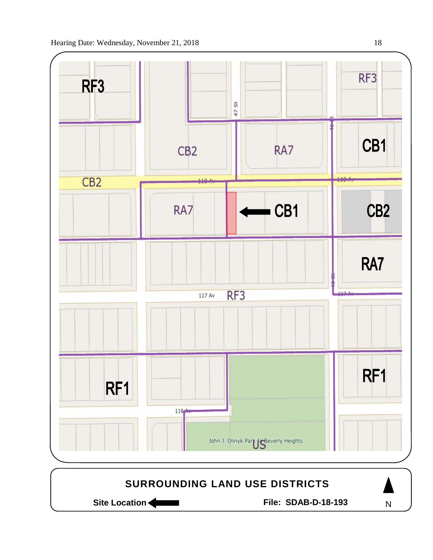

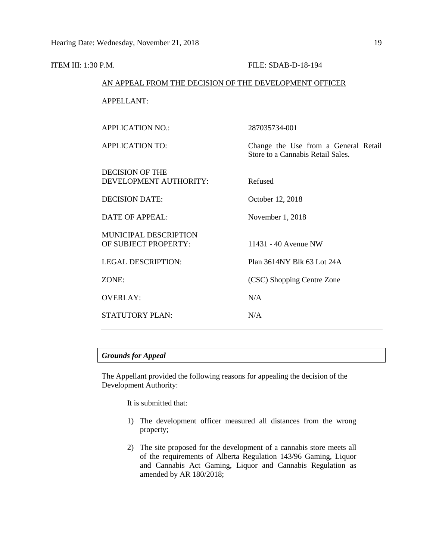| <u>ITEM III: 1:30 P.M.</u> |                                                        | FILE: SDAB-D-18-194                                                       |  |  |
|----------------------------|--------------------------------------------------------|---------------------------------------------------------------------------|--|--|
|                            | AN APPEAL FROM THE DECISION OF THE DEVELOPMENT OFFICER |                                                                           |  |  |
|                            | <b>APPELLANT:</b>                                      |                                                                           |  |  |
|                            | <b>APPLICATION NO.:</b>                                | 287035734-001                                                             |  |  |
|                            | <b>APPLICATION TO:</b>                                 | Change the Use from a General Retail<br>Store to a Cannabis Retail Sales. |  |  |
|                            | <b>DECISION OF THE</b><br>DEVELOPMENT AUTHORITY:       | Refused                                                                   |  |  |
|                            | <b>DECISION DATE:</b>                                  | October 12, 2018                                                          |  |  |
|                            | <b>DATE OF APPEAL:</b>                                 | November 1, 2018                                                          |  |  |
|                            | <b>MUNICIPAL DESCRIPTION</b><br>OF SUBJECT PROPERTY:   | 11431 - 40 Avenue NW                                                      |  |  |
|                            | <b>LEGAL DESCRIPTION:</b>                              | Plan 3614NY Blk 63 Lot 24A                                                |  |  |
|                            | ZONE:                                                  | (CSC) Shopping Centre Zone                                                |  |  |
|                            | <b>OVERLAY:</b>                                        | N/A                                                                       |  |  |
|                            | <b>STATUTORY PLAN:</b>                                 | N/A                                                                       |  |  |
|                            |                                                        |                                                                           |  |  |

# *Grounds for Appeal*

The Appellant provided the following reasons for appealing the decision of the Development Authority:

It is submitted that:

- 1) The development officer measured all distances from the wrong property;
- 2) The site proposed for the development of a cannabis store meets all of the requirements of Alberta Regulation 143/96 Gaming, Liquor and Cannabis Act Gaming, Liquor and Cannabis Regulation as amended by AR 180/2018;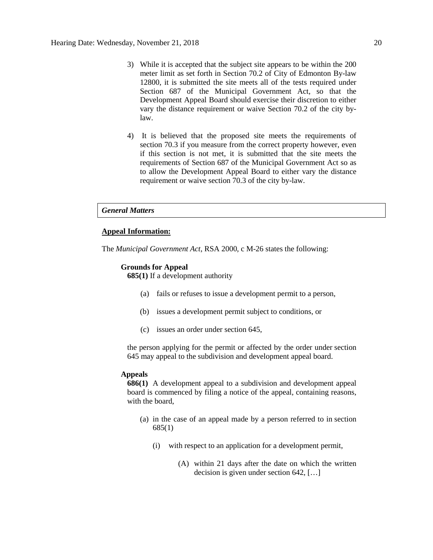- 3) While it is accepted that the subject site appears to be within the 200 meter limit as set forth in Section 70.2 of City of Edmonton By-law 12800, it is submitted the site meets all of the tests required under Section 687 of the Municipal Government Act, so that the Development Appeal Board should exercise their discretion to either vary the distance requirement or waive Section 70.2 of the city bylaw.
- 4) It is believed that the proposed site meets the requirements of section 70.3 if you measure from the correct property however, even if this section is not met, it is submitted that the site meets the requirements of Section 687 of the Municipal Government Act so as to allow the Development Appeal Board to either vary the distance requirement or waive section 70.3 of the city by-law.

# *General Matters*

# **Appeal Information:**

The *Municipal Government Act*, RSA 2000, c M-26 states the following:

### **Grounds for Appeal**

**685(1)** If a development authority

- (a) fails or refuses to issue a development permit to a person,
- (b) issues a development permit subject to conditions, or
- (c) issues an order under section 645,

the person applying for the permit or affected by the order under section 645 may appeal to the subdivision and development appeal board.

## **Appeals**

**686(1)** A development appeal to a subdivision and development appeal board is commenced by filing a notice of the appeal, containing reasons, with the board,

- (a) in the case of an appeal made by a person referred to in section 685(1)
	- (i) with respect to an application for a development permit,
		- (A) within 21 days after the date on which the written decision is given under section 642, […]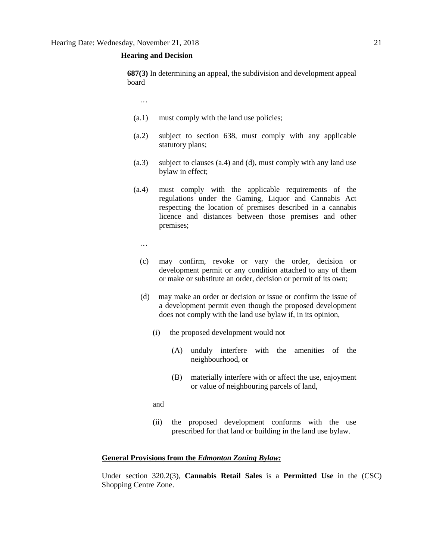# **Hearing and Decision**

**687(3)** In determining an appeal, the subdivision and development appeal board

…

- (a.1) must comply with the land use policies;
- (a.2) subject to section 638, must comply with any applicable statutory plans;
- (a.3) subject to clauses (a.4) and (d), must comply with any land use bylaw in effect;
- (a.4) must comply with the applicable requirements of the regulations under the Gaming, Liquor and Cannabis Act respecting the location of premises described in a cannabis licence and distances between those premises and other premises;
	- …
	- (c) may confirm, revoke or vary the order, decision or development permit or any condition attached to any of them or make or substitute an order, decision or permit of its own;
	- (d) may make an order or decision or issue or confirm the issue of a development permit even though the proposed development does not comply with the land use bylaw if, in its opinion,
		- (i) the proposed development would not
			- (A) unduly interfere with the amenities of the neighbourhood, or
			- (B) materially interfere with or affect the use, enjoyment or value of neighbouring parcels of land,

and

(ii) the proposed development conforms with the use prescribed for that land or building in the land use bylaw.

# **General Provisions from the** *Edmonton Zoning Bylaw:*

Under section 320.2(3), **Cannabis Retail Sales** is a **Permitted Use** in the (CSC) Shopping Centre Zone.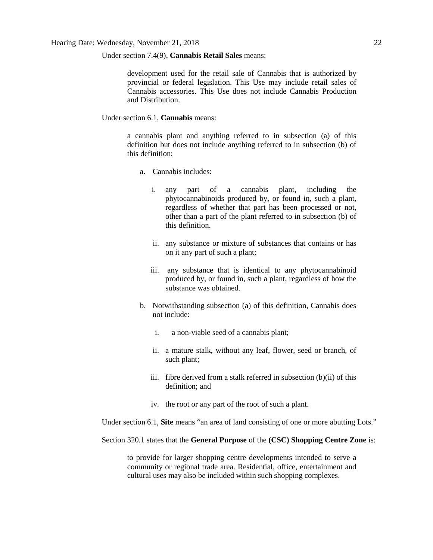# Under section 7.4(9), **Cannabis Retail Sales** means:

development used for the retail sale of Cannabis that is authorized by provincial or federal legislation. This Use may include retail sales of Cannabis accessories. This Use does not include Cannabis Production and Distribution.

## Under section 6.1, **Cannabis** means:

a cannabis plant and anything referred to in subsection (a) of this definition but does not include anything referred to in subsection (b) of this definition:

- a. Cannabis includes:
	- i. any part of a cannabis plant, including the phytocannabinoids produced by, or found in, such a plant, regardless of whether that part has been processed or not, other than a part of the plant referred to in subsection (b) of this definition.
	- ii. any substance or mixture of substances that contains or has on it any part of such a plant;
	- iii. any substance that is identical to any phytocannabinoid produced by, or found in, such a plant, regardless of how the substance was obtained.
- b. Notwithstanding subsection (a) of this definition, Cannabis does not include:
	- i. a non-viable seed of a cannabis plant;
	- ii. a mature stalk, without any leaf, flower, seed or branch, of such plant;
	- iii. fibre derived from a stalk referred in subsection (b)(ii) of this definition; and
	- iv. the root or any part of the root of such a plant.

Under section 6.1, **Site** means "an area of land consisting of one or more abutting Lots."

Section 320.1 states that the **General Purpose** of the **(CSC) Shopping Centre Zone** is:

to provide for larger shopping centre developments intended to serve a community or regional trade area. Residential, office, entertainment and cultural uses may also be included within such shopping complexes.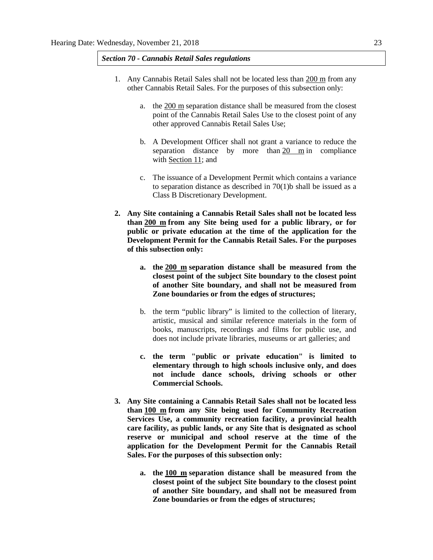*Section 70 - Cannabis Retail Sales regulations*

- 1. Any Cannabis Retail Sales shall not be located less than 200 m from any other Cannabis Retail Sales. For the purposes of this subsection only:
	- a. the [200 m](javascript:void(0);) separation distance shall be measured from the closest point of the Cannabis Retail Sales Use to the closest point of any other approved Cannabis Retail Sales Use;
	- b. A Development Officer shall not grant a variance to reduce the separation distance by more than [20 m](javascript:void(0);) in compliance with [Section 11;](https://webdocs.edmonton.ca/InfraPlan/zoningbylaw/ZoningBylaw/Part1/Administrative/11__Authority_and_Responsibility_of_the_Development_Officer.htm) and
	- c. The issuance of a Development Permit which contains a variance to separation distance as described in  $70(1)$ b shall be issued as a Class B Discretionary Development.
- **2. Any Site containing a Cannabis Retail Sales shall not be located less than [200 m](javascript:void(0);) from any Site being used for a public library, or for public or private education at the time of the application for the Development Permit for the Cannabis Retail Sales. For the purposes of this subsection only:**
	- **a. the [200 m](javascript:void(0);) separation distance shall be measured from the closest point of the subject Site boundary to the closest point of another Site boundary, and shall not be measured from Zone boundaries or from the edges of structures;**
	- b. the term "public library" is limited to the collection of literary, artistic, musical and similar reference materials in the form of books, manuscripts, recordings and films for public use, and does not include private libraries, museums or art galleries; and
	- **c. the term "public or private education" is limited to elementary through to high schools inclusive only, and does not include dance schools, driving schools or other Commercial Schools.**
- **3. Any Site containing a Cannabis Retail Sales shall not be located less than [100 m](javascript:void(0);) from any Site being used for Community Recreation Services Use, a community recreation facility, a provincial health care facility, as public lands, or any Site that is designated as school reserve or municipal and school reserve at the time of the application for the Development Permit for the Cannabis Retail Sales. For the purposes of this subsection only:**
	- **a. the [100 m](javascript:void(0);) separation distance shall be measured from the closest point of the subject Site boundary to the closest point of another Site boundary, and shall not be measured from Zone boundaries or from the edges of structures;**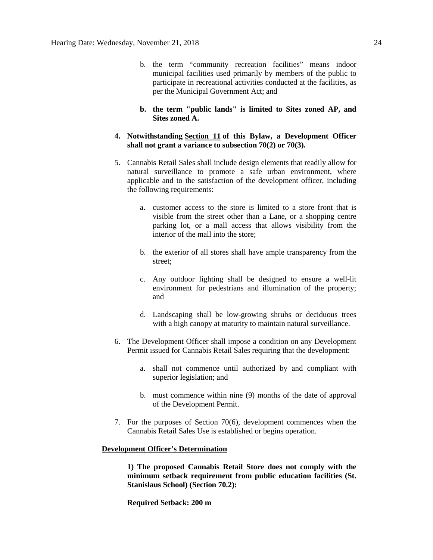- b. the term "community recreation facilities" means indoor municipal facilities used primarily by members of the public to participate in recreational activities conducted at the facilities, as per the Municipal Government Act; and
- **b. the term "public lands" is limited to Sites zoned AP, and Sites zoned A.**
- **4. Notwithstanding [Section 11](https://webdocs.edmonton.ca/InfraPlan/zoningbylaw/ZoningBylaw/Part1/Administrative/11__Authority_and_Responsibility_of_the_Development_Officer.htm) of this Bylaw, a Development Officer shall not grant a variance to subsection 70(2) or 70(3).**
- 5. Cannabis Retail Sales shall include design elements that readily allow for natural surveillance to promote a safe urban environment, where applicable and to the satisfaction of the development officer, including the following requirements:
	- a. customer access to the store is limited to a store front that is visible from the street other than a Lane, or a shopping centre parking lot, or a mall access that allows visibility from the interior of the mall into the store;
	- b. the exterior of all stores shall have ample transparency from the street;
	- c. Any outdoor lighting shall be designed to ensure a well-lit environment for pedestrians and illumination of the property; and
	- d. Landscaping shall be low-growing shrubs or deciduous trees with a high canopy at maturity to maintain natural surveillance.
- 6. The Development Officer shall impose a condition on any Development Permit issued for Cannabis Retail Sales requiring that the development:
	- a. shall not commence until authorized by and compliant with superior legislation; and
	- b. must commence within nine (9) months of the date of approval of the Development Permit.
- 7. For the purposes of Section 70(6), development commences when the Cannabis Retail Sales Use is established or begins operation.

# **Development Officer's Determination**

**1) The proposed Cannabis Retail Store does not comply with the minimum setback requirement from public education facilities (St. Stanislaus School) (Section 70.2):**

**Required Setback: 200 m**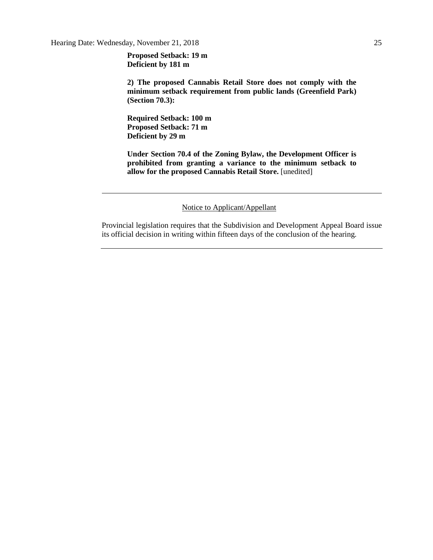**Proposed Setback: 19 m Deficient by 181 m**

**2) The proposed Cannabis Retail Store does not comply with the minimum setback requirement from public lands (Greenfield Park) (Section 70.3):**

**Required Setback: 100 m Proposed Setback: 71 m Deficient by 29 m**

**Under Section 70.4 of the Zoning Bylaw, the Development Officer is prohibited from granting a variance to the minimum setback to allow for the proposed Cannabis Retail Store.** [unedited]

Notice to Applicant/Appellant

Provincial legislation requires that the Subdivision and Development Appeal Board issue its official decision in writing within fifteen days of the conclusion of the hearing.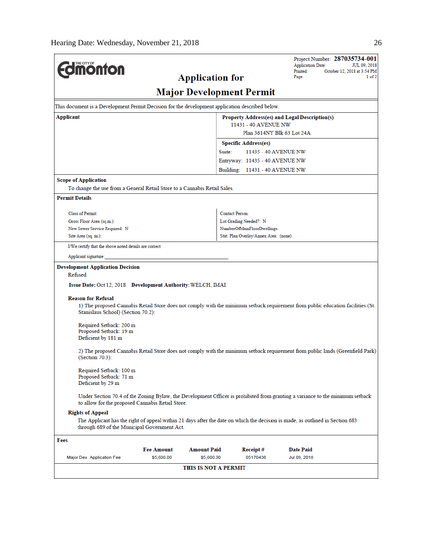| <b>dinonton</b>                                                                                                                                                                                                                                                                                                                                                                                                                                  |                                               | <b>Application for</b>           |                                       | Project Number: 287035734-001<br><b>Application Date:</b><br>Printed:<br>October 12, 2018 at 3:54 PM<br>Page:                                                                                                                                                                                                                                                                                                                                                                                                                        | JUL 09, 2018<br>1 of 2 |  |  |  |  |
|--------------------------------------------------------------------------------------------------------------------------------------------------------------------------------------------------------------------------------------------------------------------------------------------------------------------------------------------------------------------------------------------------------------------------------------------------|-----------------------------------------------|----------------------------------|---------------------------------------|--------------------------------------------------------------------------------------------------------------------------------------------------------------------------------------------------------------------------------------------------------------------------------------------------------------------------------------------------------------------------------------------------------------------------------------------------------------------------------------------------------------------------------------|------------------------|--|--|--|--|
| <b>Major Development Permit</b>                                                                                                                                                                                                                                                                                                                                                                                                                  |                                               |                                  |                                       |                                                                                                                                                                                                                                                                                                                                                                                                                                                                                                                                      |                        |  |  |  |  |
| This document is a Development Permit Decision for the development application described below.                                                                                                                                                                                                                                                                                                                                                  |                                               |                                  |                                       |                                                                                                                                                                                                                                                                                                                                                                                                                                                                                                                                      |                        |  |  |  |  |
| Applicant                                                                                                                                                                                                                                                                                                                                                                                                                                        | Property Address(es) and Legal Description(s) |                                  |                                       |                                                                                                                                                                                                                                                                                                                                                                                                                                                                                                                                      |                        |  |  |  |  |
|                                                                                                                                                                                                                                                                                                                                                                                                                                                  |                                               |                                  | 11431 - 40 AVENUE NW                  | Plan 3614NY Blk 63 Lot 24A                                                                                                                                                                                                                                                                                                                                                                                                                                                                                                           |                        |  |  |  |  |
|                                                                                                                                                                                                                                                                                                                                                                                                                                                  |                                               |                                  | <b>Specific Address(es)</b>           |                                                                                                                                                                                                                                                                                                                                                                                                                                                                                                                                      |                        |  |  |  |  |
|                                                                                                                                                                                                                                                                                                                                                                                                                                                  | Suite:<br>11435 - 40 AVENUE NW                |                                  |                                       |                                                                                                                                                                                                                                                                                                                                                                                                                                                                                                                                      |                        |  |  |  |  |
|                                                                                                                                                                                                                                                                                                                                                                                                                                                  |                                               |                                  | Entryway: 11435 - 40 AVENUE NW        |                                                                                                                                                                                                                                                                                                                                                                                                                                                                                                                                      |                        |  |  |  |  |
|                                                                                                                                                                                                                                                                                                                                                                                                                                                  |                                               |                                  | Building: 11431 - 40 AVENUE NW        |                                                                                                                                                                                                                                                                                                                                                                                                                                                                                                                                      |                        |  |  |  |  |
| <b>Scope of Application</b>                                                                                                                                                                                                                                                                                                                                                                                                                      |                                               |                                  |                                       |                                                                                                                                                                                                                                                                                                                                                                                                                                                                                                                                      |                        |  |  |  |  |
| To change the use from a General Retail Store to a Cannabis Retail Sales.                                                                                                                                                                                                                                                                                                                                                                        |                                               |                                  |                                       |                                                                                                                                                                                                                                                                                                                                                                                                                                                                                                                                      |                        |  |  |  |  |
| <b>Permit Details</b>                                                                                                                                                                                                                                                                                                                                                                                                                            |                                               |                                  |                                       |                                                                                                                                                                                                                                                                                                                                                                                                                                                                                                                                      |                        |  |  |  |  |
| Class of Permit:                                                                                                                                                                                                                                                                                                                                                                                                                                 |                                               |                                  | Contact Person:                       |                                                                                                                                                                                                                                                                                                                                                                                                                                                                                                                                      |                        |  |  |  |  |
| Gross Floor Area (sq.m.):                                                                                                                                                                                                                                                                                                                                                                                                                        |                                               |                                  | Lot Grading Needed?: N                |                                                                                                                                                                                                                                                                                                                                                                                                                                                                                                                                      |                        |  |  |  |  |
| New Sewer Service Required: N                                                                                                                                                                                                                                                                                                                                                                                                                    |                                               |                                  | NumberOfMainFloorDwellings:           |                                                                                                                                                                                                                                                                                                                                                                                                                                                                                                                                      |                        |  |  |  |  |
| Site Area (sq. m.):                                                                                                                                                                                                                                                                                                                                                                                                                              |                                               |                                  | Stat. Plan Overlay/Annex Area: (none) |                                                                                                                                                                                                                                                                                                                                                                                                                                                                                                                                      |                        |  |  |  |  |
| I/We certify that the above noted details are correct.                                                                                                                                                                                                                                                                                                                                                                                           |                                               |                                  |                                       |                                                                                                                                                                                                                                                                                                                                                                                                                                                                                                                                      |                        |  |  |  |  |
| Applicant signature:                                                                                                                                                                                                                                                                                                                                                                                                                             |                                               |                                  |                                       |                                                                                                                                                                                                                                                                                                                                                                                                                                                                                                                                      |                        |  |  |  |  |
| Refused<br>Issue Date: Oct 12, 2018 Development Authority: WELCH, IMAI<br><b>Reason for Refusal</b><br>Stanislaus School) (Section 70.2):<br>Required Setback: 200 m<br>Proposed Setback: 19 m<br>Deficient by 181 m<br>(Section 70.3):<br>Required Setback: 100 m<br>Proposed Setback: 71 m<br>Deficient by 29 m<br>to allow for the proposed Cannabis Retail Store.<br><b>Rights of Appeal</b><br>through 689 of the Municipal Government Act. |                                               |                                  |                                       | 1) The proposed Cannabis Retail Store does not comply with the minimum setback requirement from public education facilities (St.<br>2) The proposed Cannabis Retail Store does not comply with the minimum setback requirement from public lands (Greenfield Park)<br>Under Section 70.4 of the Zoning Bylaw, the Development Officer is prohibited from granting a variance to the minimum setback<br>The Applicant has the right of appeal within 21 days after the date on which the decision is made, as outlined in Section 683 |                        |  |  |  |  |
|                                                                                                                                                                                                                                                                                                                                                                                                                                                  |                                               |                                  |                                       |                                                                                                                                                                                                                                                                                                                                                                                                                                                                                                                                      |                        |  |  |  |  |
| Fees                                                                                                                                                                                                                                                                                                                                                                                                                                             |                                               |                                  |                                       |                                                                                                                                                                                                                                                                                                                                                                                                                                                                                                                                      |                        |  |  |  |  |
| Major Dev. Application Fee                                                                                                                                                                                                                                                                                                                                                                                                                       | <b>Fee Amount</b><br>\$5,600.00               | <b>Amount Paid</b><br>\$5,600.00 | Receipt#<br>05170438                  | <b>Date Paid</b><br>Jul 09, 2018                                                                                                                                                                                                                                                                                                                                                                                                                                                                                                     |                        |  |  |  |  |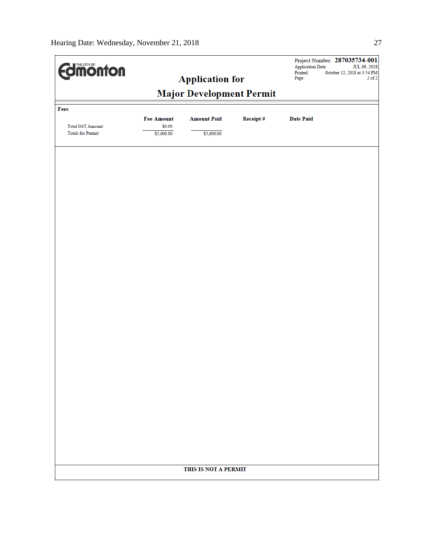| <b>Edimonton</b>                                      |                                 | <b>Application for</b> |          | Application Date:<br>Printed:<br>Page: | Project Number: 287035734-001<br>JUL 09, 2018<br>October 12, 2018 at 3:54 PM<br>$2$ of $2$ |
|-------------------------------------------------------|---------------------------------|------------------------|----------|----------------------------------------|--------------------------------------------------------------------------------------------|
|                                                       | <b>Major Development Permit</b> |                        |          |                                        |                                                                                            |
| Fees                                                  | <b>Fee Amount</b>               | <b>Amount Paid</b>     | Receipt# | <b>Date Paid</b>                       |                                                                                            |
| <b>Total GST Amount:</b><br><b>Totals for Permit:</b> | \$0.00<br>\$5,600.00            | \$5,600.00             |          |                                        |                                                                                            |
|                                                       |                                 |                        |          |                                        |                                                                                            |
|                                                       |                                 |                        |          |                                        |                                                                                            |
|                                                       |                                 |                        |          |                                        |                                                                                            |
|                                                       |                                 |                        |          |                                        |                                                                                            |
|                                                       |                                 |                        |          |                                        |                                                                                            |
|                                                       |                                 |                        |          |                                        |                                                                                            |
|                                                       |                                 |                        |          |                                        |                                                                                            |
|                                                       |                                 |                        |          |                                        |                                                                                            |
|                                                       |                                 |                        |          |                                        |                                                                                            |
|                                                       |                                 |                        |          |                                        |                                                                                            |
|                                                       |                                 |                        |          |                                        |                                                                                            |
|                                                       |                                 |                        |          |                                        |                                                                                            |
|                                                       |                                 |                        |          |                                        |                                                                                            |
|                                                       |                                 |                        |          |                                        |                                                                                            |
|                                                       |                                 | THIS IS NOT A PERMIT   |          |                                        |                                                                                            |